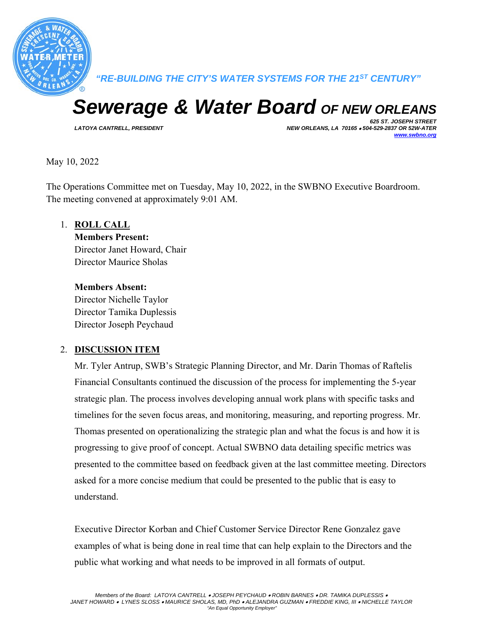

*"RE-BUILDING THE CITY'S WATER SYSTEMS FOR THE 21ST CENTURY"* 

## *Sewerage & Water Board OF NEW ORLEANS*

*625 ST. JOSEPH STREET LATOYA CANTRELL, PRESIDENT NEW ORLEANS, LA 70165 504-529-2837 OR 52W-ATER www.swbno.org*

May 10, 2022

The Operations Committee met on Tuesday, May 10, 2022, in the SWBNO Executive Boardroom. The meeting convened at approximately 9:01 AM.

1. **ROLL CALL** 

**Members Present:** 

Director Janet Howard, Chair Director Maurice Sholas

**Members Absent:**  Director Nichelle Taylor Director Tamika Duplessis Director Joseph Peychaud

## 2. **DISCUSSION ITEM**

Mr. Tyler Antrup, SWB's Strategic Planning Director, and Mr. Darin Thomas of Raftelis Financial Consultants continued the discussion of the process for implementing the 5-year strategic plan. The process involves developing annual work plans with specific tasks and timelines for the seven focus areas, and monitoring, measuring, and reporting progress. Mr. Thomas presented on operationalizing the strategic plan and what the focus is and how it is progressing to give proof of concept. Actual SWBNO data detailing specific metrics was presented to the committee based on feedback given at the last committee meeting. Directors asked for a more concise medium that could be presented to the public that is easy to understand.

Executive Director Korban and Chief Customer Service Director Rene Gonzalez gave examples of what is being done in real time that can help explain to the Directors and the public what working and what needs to be improved in all formats of output.